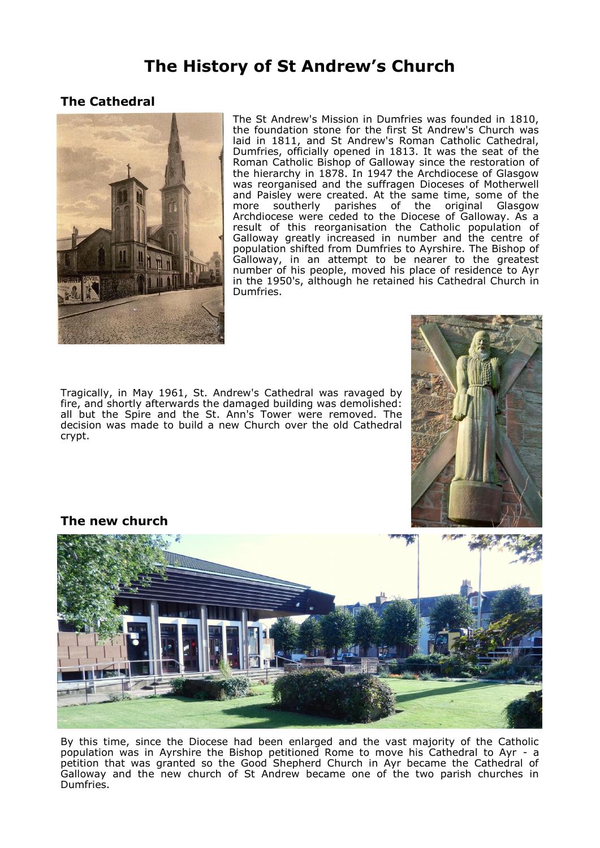## **The History of St Andrew's Church**

## **The Cathedral**



The St Andrew's Mission in Dumfries was founded in 1810, the foundation stone for the first St Andrew's Church was laid in 1811, and St Andrew's Roman Catholic Cathedral, Dumfries, officially opened in 1813. It was the seat of the Roman Catholic Bishop of Galloway since the restoration of the hierarchy in 1878. In 1947 the Archdiocese of Glasgow was reorganised and the suffragen Dioceses of Motherwell and Paisley were created. At the same time, some of the more southerly parishes of the original Glasgow Archdiocese were ceded to the Diocese of Galloway. As a result of this reorganisation the Catholic population of Galloway greatly increased in number and the centre of population shifted from Dumfries to Ayrshire. The Bishop of Galloway, in an attempt to be nearer to the greatest number of his people, moved his place of residence to Ayr in the 1950's, although he retained his Cathedral Church in Dumfries.

Tragically, in May 1961, St. Andrew's Cathedral was ravaged by fire, and shortly afterwards the damaged building was demolished: all but the Spire and the St. Ann's Tower were removed. The decision was made to build a new Church over the old Cathedral crypt.



**The new church** 



By this time, since the Diocese had been enlarged and the vast majority of the Catholic population was in Ayrshire the Bishop petitioned Rome to move his Cathedral to Ayr - a petition that was granted so the Good Shepherd Church in Ayr became the Cathedral of Galloway and the new church of St Andrew became one of the two parish churches in Dumfries.